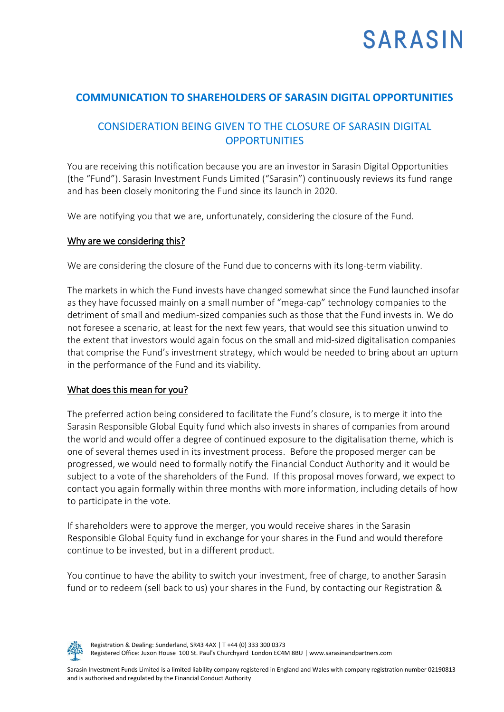# **SARASIN**

## **COMMUNICATION TO SHAREHOLDERS OF SARASIN DIGITAL OPPORTUNITIES**

## CONSIDERATION BEING GIVEN TO THE CLOSURE OF SARASIN DIGITAL **OPPORTUNITIES**

You are receiving this notification because you are an investor in Sarasin Digital Opportunities (the "Fund"). Sarasin Investment Funds Limited ("Sarasin") continuously reviews its fund range and has been closely monitoring the Fund since its launch in 2020.

We are notifying you that we are, unfortunately, considering the closure of the Fund.

#### Why are we considering this?

We are considering the closure of the Fund due to concerns with its long-term viability.

The markets in which the Fund invests have changed somewhat since the Fund launched insofar as they have focussed mainly on a small number of "mega-cap" technology companies to the detriment of small and medium-sized companies such as those that the Fund invests in. We do not foresee a scenario, at least for the next few years, that would see this situation unwind to the extent that investors would again focus on the small and mid-sized digitalisation companies that comprise the Fund's investment strategy, which would be needed to bring about an upturn in the performance of the Fund and its viability.

### What does this mean for you?

The preferred action being considered to facilitate the Fund's closure, is to merge it into the Sarasin Responsible Global Equity fund which also invests in shares of companies from around the world and would offer a degree of continued exposure to the digitalisation theme, which is one of several themes used in its investment process. Before the proposed merger can be progressed, we would need to formally notify the Financial Conduct Authority and it would be subject to a vote of the shareholders of the Fund. If this proposal moves forward, we expect to contact you again formally within three months with more information, including details of how to participate in the vote.

If shareholders were to approve the merger, you would receive shares in the Sarasin Responsible Global Equity fund in exchange for your shares in the Fund and would therefore continue to be invested, but in a different product.

You continue to have the ability to switch your investment, free of charge, to another Sarasin fund or to redeem (sell back to us) your shares in the Fund, by contacting our Registration &



Registration & Dealing: Sunderland, SR43 4AX | T +44 (0) 333 300 0373 Registered Office: Juxon House 100 St. Paul's Churchyard London EC4M 8BU | www.sarasinandpartners.com